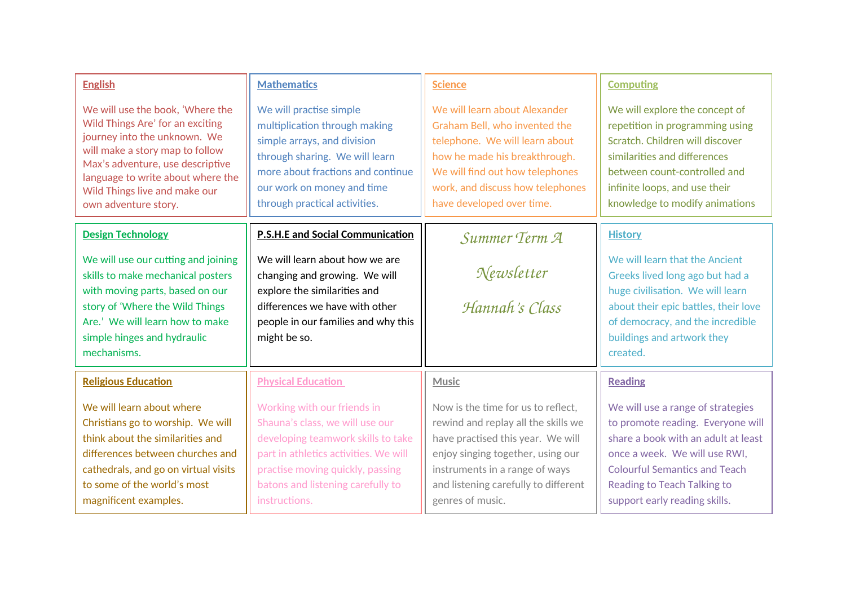| <b>English</b>                                                                                                                                                                                                                                                            | <b>Mathematics</b>                                                                                                                                                                                                                      | <b>Science</b>                                                                                                                                                                                                                                    | <b>Computing</b>                                                                                                                                                                                                                                              |
|---------------------------------------------------------------------------------------------------------------------------------------------------------------------------------------------------------------------------------------------------------------------------|-----------------------------------------------------------------------------------------------------------------------------------------------------------------------------------------------------------------------------------------|---------------------------------------------------------------------------------------------------------------------------------------------------------------------------------------------------------------------------------------------------|---------------------------------------------------------------------------------------------------------------------------------------------------------------------------------------------------------------------------------------------------------------|
| We will use the book, 'Where the<br>Wild Things Are' for an exciting<br>journey into the unknown. We<br>will make a story map to follow<br>Max's adventure, use descriptive<br>language to write about where the<br>Wild Things live and make our<br>own adventure story. | We will practise simple<br>multiplication through making<br>simple arrays, and division<br>through sharing. We will learn<br>more about fractions and continue<br>our work on money and time<br>through practical activities.           | We will learn about Alexander<br>Graham Bell, who invented the<br>telephone. We will learn about<br>how he made his breakthrough.<br>We will find out how telephones<br>work, and discuss how telephones<br>have developed over time.             | We will explore the concept of<br>repetition in programming using<br>Scratch. Children will discover<br>similarities and differences<br>between count-controlled and<br>infinite loops, and use their<br>knowledge to modify animations                       |
| <b>Design Technology</b>                                                                                                                                                                                                                                                  | <b>P.S.H.E and Social Communication</b>                                                                                                                                                                                                 | Summer Term A                                                                                                                                                                                                                                     | <b>History</b>                                                                                                                                                                                                                                                |
| We will use our cutting and joining<br>skills to make mechanical posters<br>with moving parts, based on our<br>story of 'Where the Wild Things<br>Are.' We will learn how to make<br>simple hinges and hydraulic<br>mechanisms.                                           | We will learn about how we are<br>changing and growing. We will<br>explore the similarities and<br>differences we have with other<br>people in our families and why this<br>might be so.                                                | Newsletter<br>Hannah's Class                                                                                                                                                                                                                      | We will learn that the Ancient<br>Greeks lived long ago but had a<br>huge civilisation. We will learn<br>about their epic battles, their love<br>of democracy, and the incredible<br>buildings and artwork they<br>created.                                   |
| <b>Religious Education</b>                                                                                                                                                                                                                                                | <b>Physical Education</b>                                                                                                                                                                                                               | <b>Music</b>                                                                                                                                                                                                                                      | <b>Reading</b>                                                                                                                                                                                                                                                |
| We will learn about where<br>Christians go to worship. We will<br>think about the similarities and<br>differences between churches and<br>cathedrals, and go on virtual visits<br>to some of the world's most<br>magnificent examples.                                    | Working with our friends in<br>Shauna's class, we will use our<br>developing teamwork skills to take<br>part in athletics activities. We will<br>practise moving quickly, passing<br>batons and listening carefully to<br>instructions. | Now is the time for us to reflect.<br>rewind and replay all the skills we<br>have practised this year. We will<br>enjoy singing together, using our<br>instruments in a range of ways<br>and listening carefully to different<br>genres of music. | We will use a range of strategies<br>to promote reading. Everyone will<br>share a book with an adult at least<br>once a week. We will use RWI,<br><b>Colourful Semantics and Teach</b><br><b>Reading to Teach Talking to</b><br>support early reading skills. |